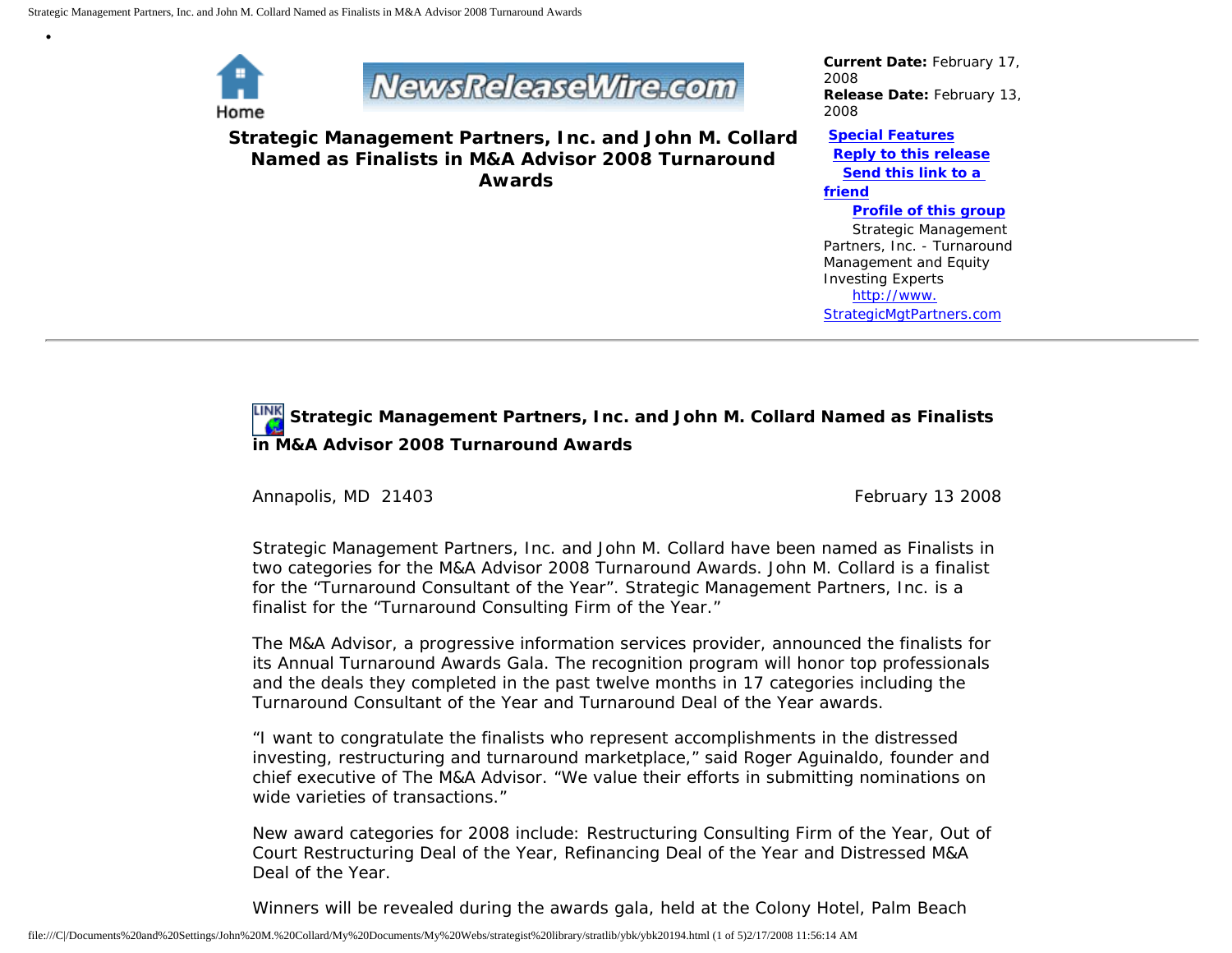

•

## **NewsReleaseWire.com**

**Strategic Management Partners, Inc. and John M. Collard Named as Finalists in M&A Advisor 2008 Turnaround Awards**

*Current Date:* February 17, 2008 *Release Date:* February 13, 2008

**[Special Features](javascript:openlittleme() [Reply to this release](file:///C|/Documents%20and%20Settings/John%20M.%20Collard/My%20Documents/My%20Webs/strategist%20library/stratlib/ybk/default.cfm?Action=ReplyRelease&Id=20194) [Send this link to a](file:///C|/Documents%20and%20Settings/John%20M.%20Collard/My%20Documents/My%20Webs/strategist%20library/stratlib/ybk/default.cfm?Action=SendLink&SendId=20194)  [friend](file:///C|/Documents%20and%20Settings/John%20M.%20Collard/My%20Documents/My%20Webs/strategist%20library/stratlib/ybk/default.cfm?Action=SendLink&SendId=20194) [Profile of this group](file:///C|/Documents%20and%20Settings/John%20M.%20Collard/My%20Documents/My%20Webs/strategist%20library/stratlib/ybk/default.cfm?Action=Profile&ProfileId=623)** Strategic Management

Partners, Inc. - Turnaround Management and Equity Investing Experts [http://www.](http://www.strategicmgtpartners.com/) [StrategicMgtPartners.com](http://www.strategicmgtpartners.com/)

## **Strategic Management Partners, Inc. and John M. Collard Named as Finalists in M&A Advisor 2008 Turnaround Awards**

Annapolis, MD 21403 **February 13 2008** February 13 2008

Strategic Management Partners, Inc. and John M. Collard have been named as Finalists in two categories for the M&A Advisor 2008 Turnaround Awards. John M. Collard is a finalist for the "Turnaround Consultant of the Year". Strategic Management Partners, Inc. is a finalist for the "Turnaround Consulting Firm of the Year."

The M&A Advisor, a progressive information services provider, announced the finalists for its Annual Turnaround Awards Gala. The recognition program will honor top professionals and the deals they completed in the past twelve months in 17 categories including the Turnaround Consultant of the Year and Turnaround Deal of the Year awards.

"I want to congratulate the finalists who represent accomplishments in the distressed investing, restructuring and turnaround marketplace," said Roger Aguinaldo, founder and chief executive of The M&A Advisor. "We value their efforts in submitting nominations on wide varieties of transactions."

New award categories for 2008 include: Restructuring Consulting Firm of the Year, Out of Court Restructuring Deal of the Year, Refinancing Deal of the Year and Distressed M&A Deal of the Year.

Winners will be revealed during the awards gala, held at the Colony Hotel, Palm Beach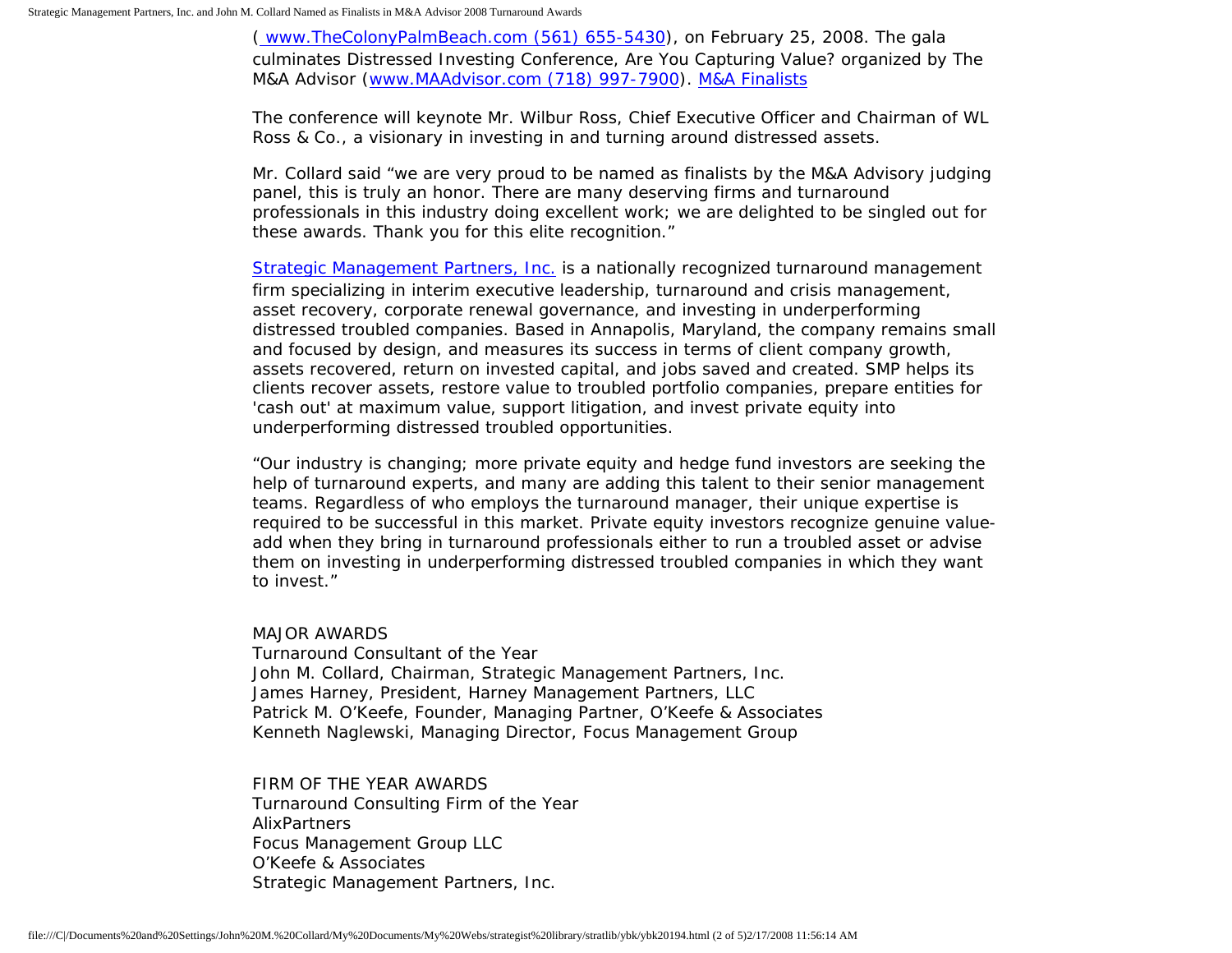[\( www.TheColonyPalmBeach.com \(561\) 655-5430\)](http://www.thecolonypalmbeach.com/), on February 25, 2008. The gala culminates Distressed Investing Conference, Are You Capturing Value? organized by The M&A Advisor [\(www.MAAdvisor.com \(718\) 997-7900\)](http://www.maadvisor.com/). [M&A Finalists](http://members.aol.com/stratlib/mafinalists.pdf)

The conference will keynote Mr. Wilbur Ross, Chief Executive Officer and Chairman of WL Ross & Co., a visionary in investing in and turning around distressed assets.

Mr. Collard said "we are very proud to be named as finalists by the M&A Advisory judging panel, this is truly an honor. There are many deserving firms and turnaround professionals in this industry doing excellent work; we are delighted to be singled out for these awards. Thank you for this elite recognition."

[Strategic Management Partners, Inc.](http://www.strategicmgtpartners.com/) is a nationally recognized turnaround management firm specializing in interim executive leadership, turnaround and crisis management, asset recovery, corporate renewal governance, and investing in underperforming distressed troubled companies. Based in Annapolis, Maryland, the company remains small and focused by design, and measures its success in terms of client company growth, assets recovered, return on invested capital, and jobs saved and created. SMP helps its clients recover assets, restore value to troubled portfolio companies, prepare entities for 'cash out' at maximum value, support litigation, and invest private equity into underperforming distressed troubled opportunities.

"Our industry is changing; more private equity and hedge fund investors are seeking the help of turnaround experts, and many are adding this talent to their senior management teams. Regardless of who employs the turnaround manager, their unique expertise is required to be successful in this market. Private equity investors recognize genuine valueadd when they bring in turnaround professionals either to run a troubled asset or advise them on investing in underperforming distressed troubled companies in which they want to invest."

## MAJOR AWARDS

Turnaround Consultant of the Year John M. Collard, Chairman, Strategic Management Partners, Inc. James Harney, President, Harney Management Partners, LLC Patrick M. O'Keefe, Founder, Managing Partner, O'Keefe & Associates Kenneth Naglewski, Managing Director, Focus Management Group

## FIRM OF THE YEAR AWARDS

Turnaround Consulting Firm of the Year AlixPartners Focus Management Group LLC O'Keefe & Associates Strategic Management Partners, Inc.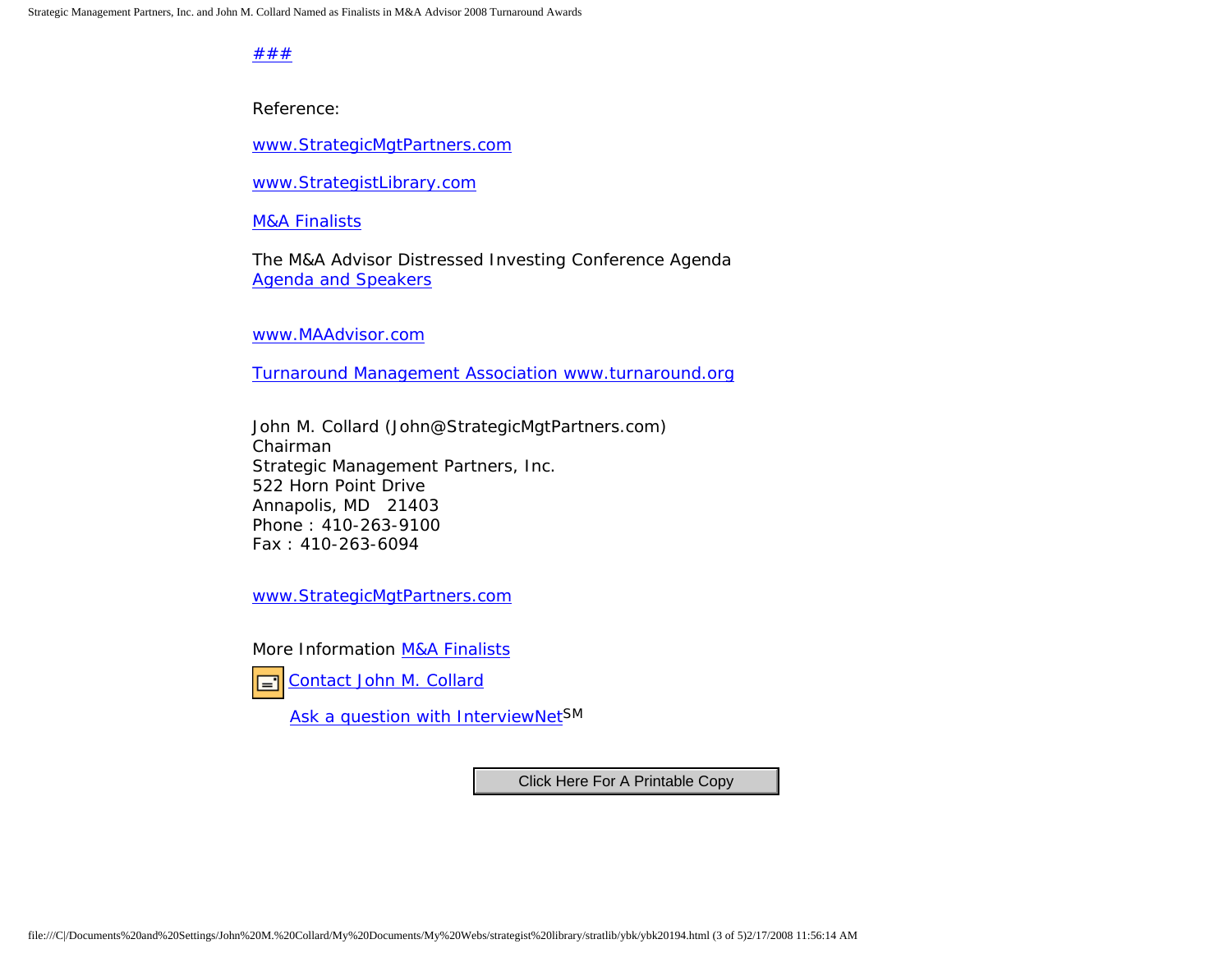[#](http://members.aol.com/Strategist/home.html)[#](http://members.aol.com/Strategist/sitemap.html)[#](http://members.aol.com/Strategist/urllist.txt)

Reference:

[www.StrategicMgtPartners.com](http://www.strategicmgtpartners.com/)

[www.StrategistLibrary.com](http://members.aol.com/stratlib3/libindx.html)

**[M&A Finalists](http://members.aol.com/stratlib/mafinalists.pdf)** 

The M&A Advisor Distressed Investing Conference Agenda [Agenda and Speakers](http://www.maadvisor.net/feb08/agendafeb2008.htm)

[www.MAAdvisor.com](http://www.maadvisor.com/)

[Turnaround Management Association www.turnaround.org](http://www.turnaround.org/)

John M. Collard (John@StrategicMgtPartners.com) Chairman Strategic Management Partners, Inc. 522 Horn Point Drive Annapolis, MD 21403 Phone : 410-263-9100 Fax : 410-263-6094

[www.StrategicMgtPartners.com](http://www.strategicmgtpartners.com/)

More Information [M&A Finalists](http://members.aol.com/stratlib/mafinalists.pdf)



[Contact John M. Collard](http://www.expertclick.com/expertClick/contact/default.cfm?Action=ContactExpert&GroupID=1016)

[Ask a question with InterviewNetS](http://www.expertclick.com/expertClick/contact/default.cfm?GroupID=1016)M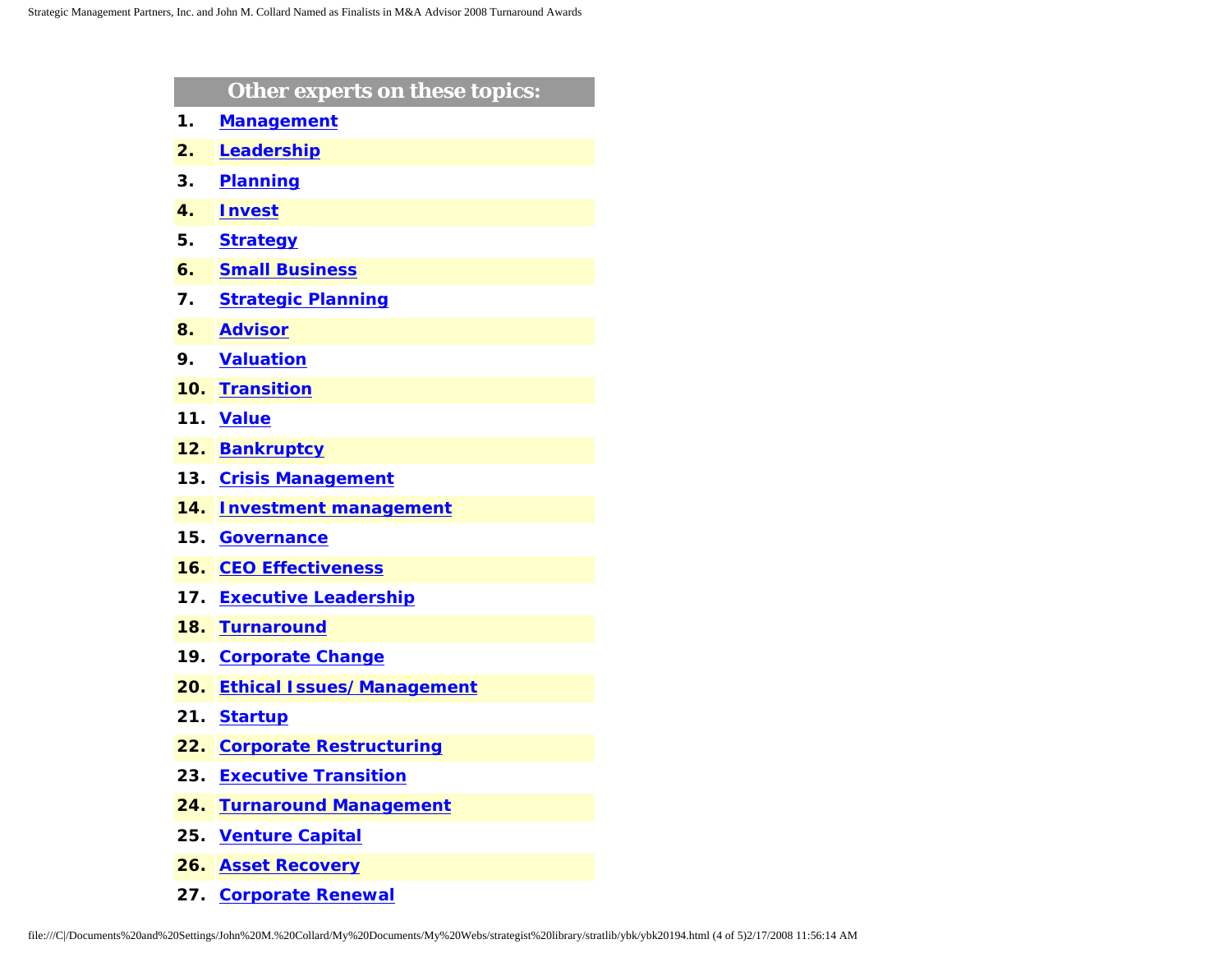|     | Other experts on these topics:   |
|-----|----------------------------------|
| 1.  | <b>Management</b>                |
| 2.  | Leadership                       |
| 3.  | <b>Planning</b>                  |
| 4.  | <b>Invest</b>                    |
| 5.  | <b>Strategy</b>                  |
| 6.  | <b>Small Business</b>            |
| 7.  | <b>Strategic Planning</b>        |
| 8.  | <b>Advisor</b>                   |
| 9.  | <b>Valuation</b>                 |
| 10. | <b>Transition</b>                |
| 11. | <b>Value</b>                     |
| 12. | <b>Bankruptcy</b>                |
| 13. | <b>Crisis Management</b>         |
| 14. | <b>Investment management</b>     |
| 15. | <b>Governance</b>                |
| 16. | <b>CEO Effectiveness</b>         |
| 17. | <b>Executive Leadership</b>      |
| 18. | <b>Turnaround</b>                |
| 19. | <b>Corporate Change</b>          |
| 20. | <b>Ethical Issues/Management</b> |
| 21. | <b>Startup</b>                   |
| 22. | <b>Corporate Restructuring</b>   |
| 23. | <b>Executive Transition</b>      |
| 24. | <b>Turnaround Management</b>     |
| 25. | <b>Venture Capital</b>           |
| 26. | <b>Asset Recovery</b>            |
| 27. | <b>Corporate Renewal</b>         |